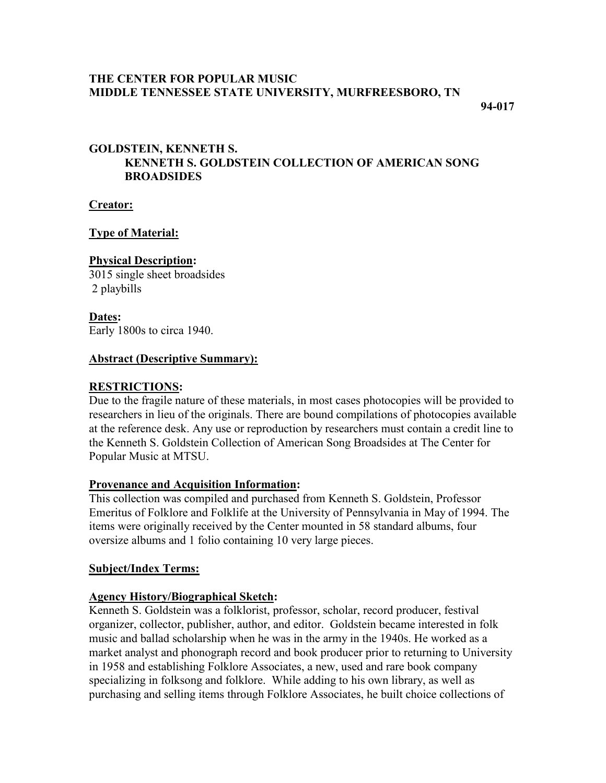## **THE CENTER FOR POPULAR MUSIC MIDDLE TENNESSEE STATE UNIVERSITY, MURFREESBORO, TN**

**94-017**

# **GOLDSTEIN, KENNETH S. KENNETH S. GOLDSTEIN COLLECTION OF AMERICAN SONG BROADSIDES**

**Creator:**

### **Type of Material:**

#### **Physical Description:**

3015 single sheet broadsides 2 playbills

**Dates:** Early 1800s to circa 1940.

### **Abstract (Descriptive Summary):**

## **RESTRICTIONS:**

Due to the fragile nature of these materials, in most cases photocopies will be provided to researchers in lieu of the originals. There are bound compilations of photocopies available at the reference desk. Any use or reproduction by researchers must contain a credit line to the Kenneth S. Goldstein Collection of American Song Broadsides at The Center for Popular Music at MTSU.

#### **Provenance and Acquisition Information:**

This collection was compiled and purchased from Kenneth S. Goldstein, Professor Emeritus of Folklore and Folklife at the University of Pennsylvania in May of 1994. The items were originally received by the Center mounted in 58 standard albums, four oversize albums and 1 folio containing 10 very large pieces.

#### **Subject/Index Terms:**

## **Agency History/Biographical Sketch:**

Kenneth S. Goldstein was a folklorist, professor, scholar, record producer, festival organizer, collector, publisher, author, and editor. Goldstein became interested in folk music and ballad scholarship when he was in the army in the 1940s. He worked as a market analyst and phonograph record and book producer prior to returning to University in 1958 and establishing Folklore Associates, a new, used and rare book company specializing in folksong and folklore. While adding to his own library, as well as purchasing and selling items through Folklore Associates, he built choice collections of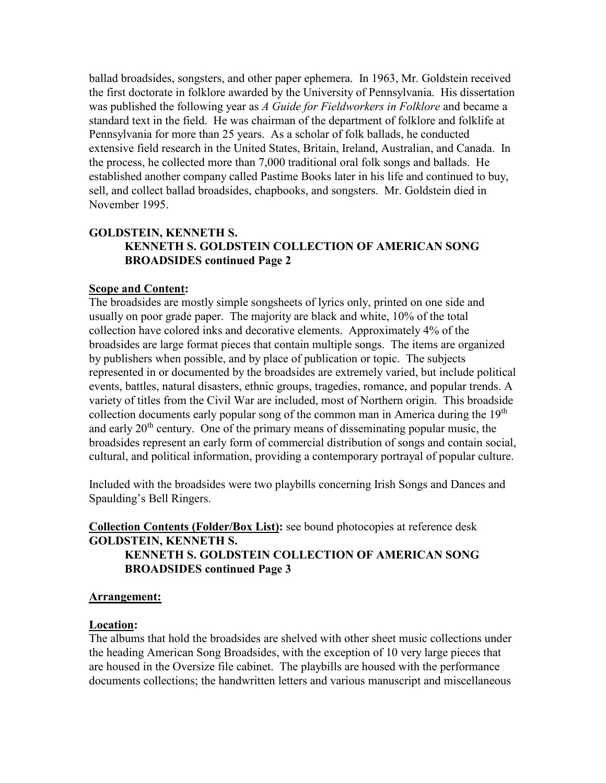ballad broadsides, songsters, and other paper ephemera. In 1963, Mr. Goldstein received the first doctorate in folklore awarded by the University of Pennsylvania. His dissertation was published the following year as *A Guide for Fieldworkers in Folklore* and became a standard text in the field. He was chairman of the department of folklore and folklife at Pennsylvania for more than 25 years. As a scholar of folk ballads, he conducted extensive field research in the United States, Britain, Ireland, Australian, and Canada. In the process, he collected more than 7,000 traditional oral folk songs and ballads. He established another company called Pastime Books later in his life and continued to buy, sell, and collect ballad broadsides, chapbooks, and songsters. Mr. Goldstein died in November 1995.

## **GOLDSTEIN, KENNETH S. KENNETH S. GOLDSTEIN COLLECTION OF AMERICAN SONG BROADSIDES continued Page 2**

#### **Scope and Content:**

The broadsides are mostly simple songsheets of lyrics only, printed on one side and usually on poor grade paper. The majority are black and white, 10% of the total collection have colored inks and decorative elements. Approximately 4% of the broadsides are large format pieces that contain multiple songs. The items are organized by publishers when possible, and by place of publication or topic. The subjects represented in or documented by the broadsides are extremely varied, but include political events, battles, natural disasters, ethnic groups, tragedies, romance, and popular trends. A variety of titles from the Civil War are included, most of Northern origin. This broadside collection documents early popular song of the common man in America during the  $19<sup>th</sup>$ and early 20th century. One of the primary means of disseminating popular music, the broadsides represent an early form of commercial distribution of songs and contain social, cultural, and political information, providing a contemporary portrayal of popular culture.

Included with the broadsides were two playbills concerning Irish Songs and Dances and Spaulding's Bell Ringers.

### **Collection Contents (Folder/Box List):** see bound photocopies at reference desk **GOLDSTEIN, KENNETH S. KENNETH S. GOLDSTEIN COLLECTION OF AMERICAN SONG BROADSIDES continued Page 3**

#### **Arrangement:**

#### **Location:**

The albums that hold the broadsides are shelved with other sheet music collections under the heading American Song Broadsides, with the exception of 10 very large pieces that are housed in the Oversize file cabinet. The playbills are housed with the performance documents collections; the handwritten letters and various manuscript and miscellaneous